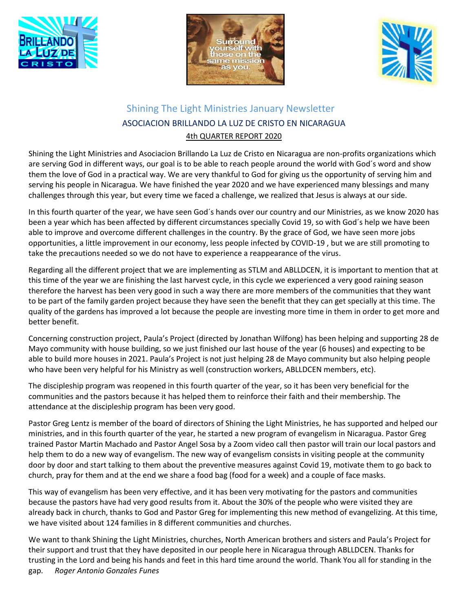





## Shining The Light Ministries January Newsletter ASOCIACION BRILLANDO LA LUZ DE CRISTO EN NICARAGUA 4th QUARTER REPORT 2020

Shining the Light Ministries and Asociacion Brillando La Luz de Cristo en Nicaragua are non-profits organizations which are serving God in different ways, our goal is to be able to reach people around the world with God´s word and show them the love of God in a practical way. We are very thankful to God for giving us the opportunity of serving him and serving his people in Nicaragua. We have finished the year 2020 and we have experienced many blessings and many challenges through this year, but every time we faced a challenge, we realized that Jesus is always at our side.

In this fourth quarter of the year, we have seen God´s hands over our country and our Ministries, as we know 2020 has been a year which has been affected by different circumstances specially Covid 19, so with God´s help we have been able to improve and overcome different challenges in the country. By the grace of God, we have seen more jobs opportunities, a little improvement in our economy, less people infected by COVID-19 , but we are still promoting to take the precautions needed so we do not have to experience a reappearance of the virus.

Regarding all the different project that we are implementing as STLM and ABLLDCEN, it is important to mention that at this time of the year we are finishing the last harvest cycle, in this cycle we experienced a very good raining season therefore the harvest has been very good in such a way there are more members of the communities that they want to be part of the family garden project because they have seen the benefit that they can get specially at this time. The quality of the gardens has improved a lot because the people are investing more time in them in order to get more and better benefit.

Concerning construction project, Paula's Project (directed by Jonathan Wilfong) has been helping and supporting 28 de Mayo community with house building, so we just finished our last house of the year (6 houses) and expecting to be able to build more houses in 2021. Paula's Project is not just helping 28 de Mayo community but also helping people who have been very helpful for his Ministry as well (construction workers, ABLLDCEN members, etc).

The discipleship program was reopened in this fourth quarter of the year, so it has been very beneficial for the communities and the pastors because it has helped them to reinforce their faith and their membership. The attendance at the discipleship program has been very good.

Pastor Greg Lentz is member of the board of directors of Shining the Light Ministries, he has supported and helped our ministries, and in this fourth quarter of the year, he started a new program of evangelism in Nicaragua. Pastor Greg trained Pastor Martin Machado and Pastor Angel Sosa by a Zoom video call then pastor will train our local pastors and help them to do a new way of evangelism. The new way of evangelism consists in visiting people at the community door by door and start talking to them about the preventive measures against Covid 19, motivate them to go back to church, pray for them and at the end we share a food bag (food for a week) and a couple of face masks.

This way of evangelism has been very effective, and it has been very motivating for the pastors and communities because the pastors have had very good results from it. About the 30% of the people who were visited they are already back in church, thanks to God and Pastor Greg for implementing this new method of evangelizing. At this time, we have visited about 124 families in 8 different communities and churches.

We want to thank Shining the Light Ministries, churches, North American brothers and sisters and Paula's Project for their support and trust that they have deposited in our people here in Nicaragua through ABLLDCEN. Thanks for trusting in the Lord and being his hands and feet in this hard time around the world. Thank You all for standing in the gap. *Roger Antonio Gonzales Funes*